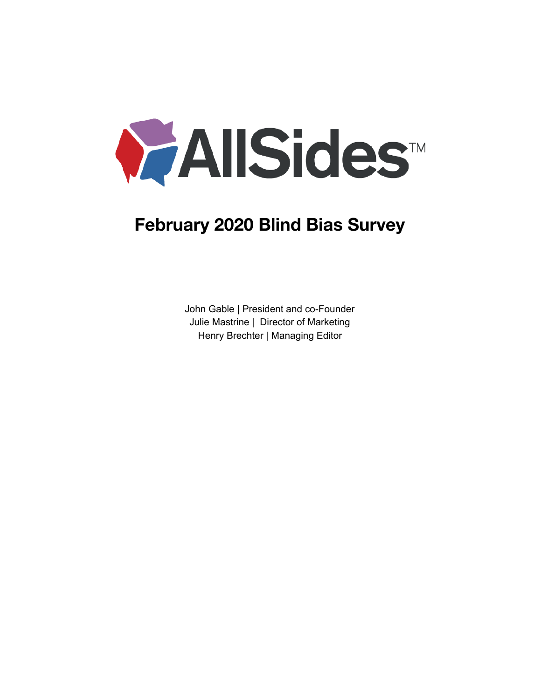

# **February 2020 Blind Bias Survey**

John Gable | President and co-Founder Julie Mastrine | Director of Marketing Henry Brechter | Managing Editor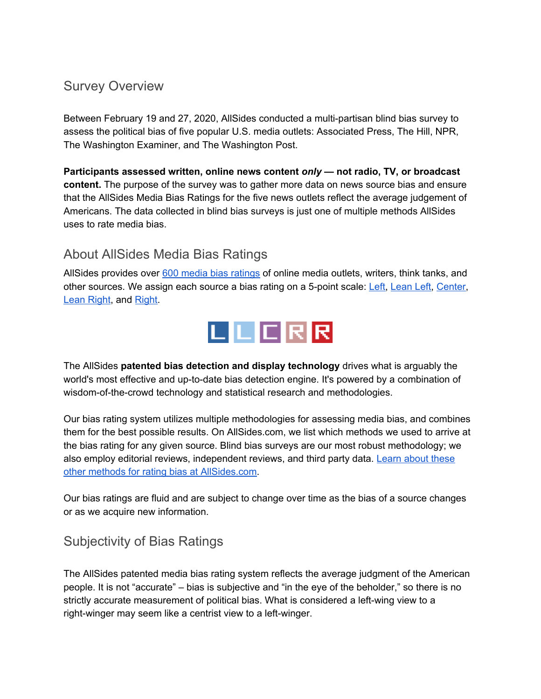# Survey Overview

Between February 19 and 27, 2020, AllSides conducted a multi-partisan blind bias survey to assess the political bias of five popular U.S. media outlets: Associated Press, The Hill, NPR, The Washington Examiner, and The Washington Post.

**Participants assessed written, online news content** *only* **— not radio, TV, or broadcast content.** The purpose of the survey was to gather more data on news source bias and ensure that the AllSides Media Bias Ratings for the five news outlets reflect the average judgement of Americans. The data collected in blind bias surveys is just one of multiple methods AllSides uses to rate media bias.

# About AllSides Media Bias Ratings

AllSides provides over 600 media bias [ratings](https://www.allsides.com/media-bias/media-bias-ratings) of online media outlets, writers, think tanks, and other sources. We assign each source a bias rating on a 5-point scale: [Left](https://www.allsides.com/media-bias/left), [Lean](https://www.allsides.com/media-bias/left-center) Left, [Center](https://www.allsides.com/media-bias/center), Lean [Right](https://www.allsides.com/media-bias/right-center), and [Right](https://www.allsides.com/media-bias/right).



The AllSides **patented bias detection and display technology** drives what is arguably the world's most effective and up-to-date bias detection engine. It's powered by a combination of wisdom-of-the-crowd technology and statistical research and methodologies.

Our bias rating system utilizes multiple methodologies for assessing media bias, and combines them for the best possible results. On AllSides.com, we list which methods we used to arrive at the bias rating for any given source. Blind bias surveys are our most robust methodology; we also employ editorial reviews, independent reviews, and third party data. [Learn](https://www.allsides.com/media-bias/media-bias-rating-methods) about these other methods for rating bias at [AllSides.com.](https://www.allsides.com/media-bias/media-bias-rating-methods)

Our bias ratings are fluid and are subject to change over time as the bias of a source changes or as we acquire new information.

# Subjectivity of Bias Ratings

The AllSides patented media bias rating system reflects the average judgment of the American people. It is not "accurate" – bias is subjective and "in the eye of the beholder," so there is no strictly accurate measurement of political bias. What is considered a left-wing view to a right-winger may seem like a centrist view to a left-winger.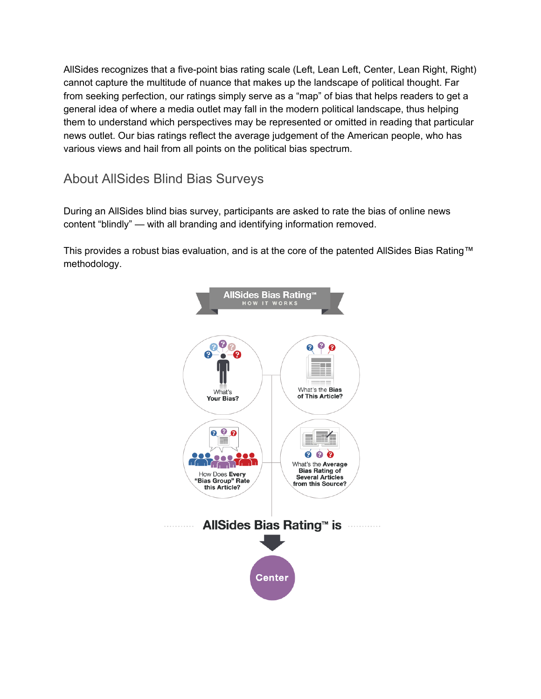AllSides recognizes that a five-point bias rating scale (Left, Lean Left, Center, Lean Right, Right) cannot capture the multitude of nuance that makes up the landscape of political thought. Far from seeking perfection, our ratings simply serve as a "map" of bias that helps readers to get a general idea of where a media outlet may fall in the modern political landscape, thus helping them to understand which perspectives may be represented or omitted in reading that particular news outlet. Our bias ratings reflect the average judgement of the American people, who has various views and hail from all points on the political bias spectrum.

About AllSides Blind Bias Surveys

During an AllSides blind bias survey, participants are asked to rate the bias of online news content "blindly" — with all branding and identifying information removed.

This provides a robust bias evaluation, and is at the core of the patented AllSides Bias Rating™ methodology.

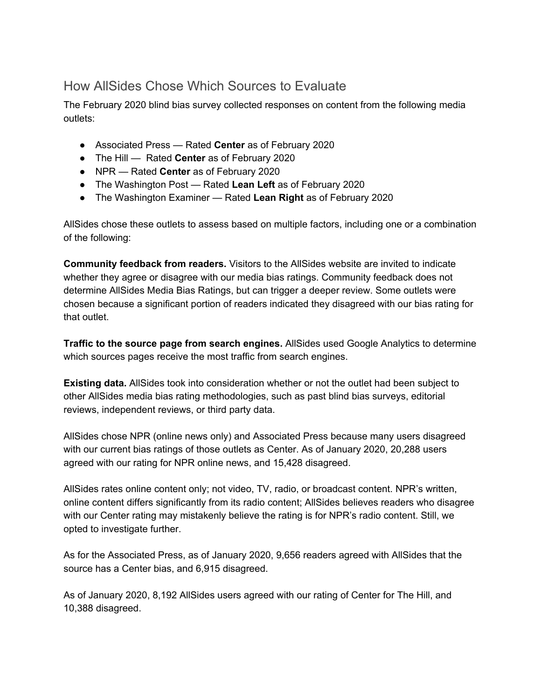# How AllSides Chose Which Sources to Evaluate

The February 2020 blind bias survey collected responses on content from the following media outlets:

- Associated Press Rated **Center** as of February 2020
- The Hill Rated **Center** as of February 2020
- NPR Rated **Center** as of February 2020
- The Washington Post Rated **Lean Left** as of February 2020
- The Washington Examiner Rated **Lean Right** as of February 2020

AllSides chose these outlets to assess based on multiple factors, including one or a combination of the following:

**Community feedback from readers.** Visitors to the AllSides website are invited to indicate whether they agree or disagree with our media bias ratings. Community feedback does not determine AllSides Media Bias Ratings, but can trigger a deeper review. Some outlets were chosen because a significant portion of readers indicated they disagreed with our bias rating for that outlet.

**Traffic to the source page from search engines.** AllSides used Google Analytics to determine which sources pages receive the most traffic from search engines.

**Existing data.** AllSides took into consideration whether or not the outlet had been subject to other AllSides media bias rating methodologies, such as past blind bias surveys, editorial reviews, independent reviews, or third party data.

AllSides chose NPR (online news only) and Associated Press because many users disagreed with our current bias ratings of those outlets as Center. As of January 2020, 20,288 users agreed with our rating for NPR online news, and 15,428 disagreed.

AllSides rates online content only; not video, TV, radio, or broadcast content. NPR's written, online content differs significantly from its radio content; AllSides believes readers who disagree with our Center rating may mistakenly believe the rating is for NPR's radio content. Still, we opted to investigate further.

As for the Associated Press, as of January 2020, 9,656 readers agreed with AllSides that the source has a Center bias, and 6,915 disagreed.

As of January 2020, 8,192 AllSides users agreed with our rating of Center for The Hill, and 10,388 disagreed.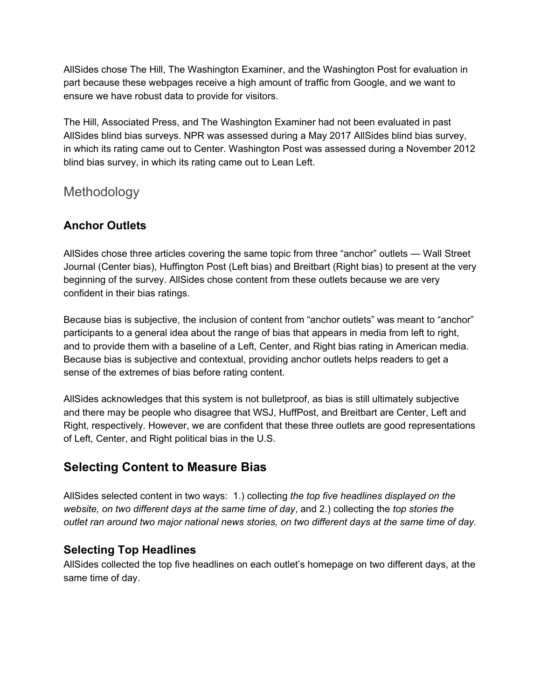AllSides chose The Hill, The Washington Examiner, and the Washington Post for evaluation in part because these webpages receive a high amount of traffic from Google, and we want to ensure we have robust data to provide for visitors.

The Hill, Associated Press, and The Washington Examiner had not been evaluated in past AllSides blind bias surveys. NPR was assessed during a May 2017 AllSides blind bias survey, in which its rating came out to Center. Washington Post was assessed during a November 2012 blind bias survey, in which its rating came out to Lean Left.

Methodology

## **Anchor Outlets**

AllSides chose three articles covering the same topic from three "anchor" outlets — Wall Street Journal (Center bias), Huffington Post (Left bias) and Breitbart (Right bias) to present at the very beginning of the survey. AllSides chose content from these outlets because we are very confident in their bias ratings.

Because bias is subjective, the inclusion of content from "anchor outlets" was meant to "anchor" participants to a general idea about the range of bias that appears in media from left to right, and to provide them with a baseline of a Left, Center, and Right bias rating in American media. Because bias is subjective and contextual, providing anchor outlets helps readers to get a sense of the extremes of bias before rating content.

AllSides acknowledges that this system is not bulletproof, as bias is still ultimately subjective and there may be people who disagree that WSJ, HuffPost, and Breitbart are Center, Left and Right, respectively. However, we are confident that these three outlets are good representations of Left, Center, and Right political bias in the U.S.

## **Selecting Content to Measure Bias**

AllSides selected content in two ways: 1.) collecting *the top five headlines displayed on the website, on two different days at the same time of day*, and 2.) collecting the *top stories the outlet ran around two major national news stories, on two different days at the same time of day.*

## **Selecting Top Headlines**

AllSides collected the top five headlines on each outlet's homepage on two different days, at the same time of day.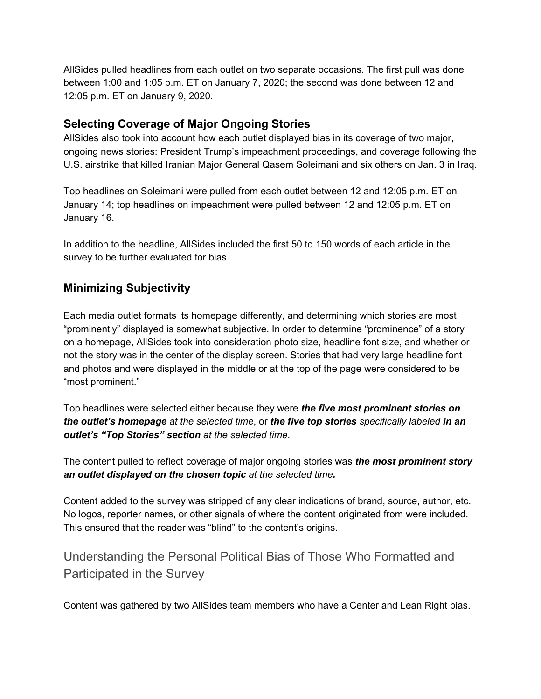AllSides pulled headlines from each outlet on two separate occasions. The first pull was done between 1:00 and 1:05 p.m. ET on January 7, 2020; the second was done between 12 and 12:05 p.m. ET on January 9, 2020.

#### **Selecting Coverage of Major Ongoing Stories**

AllSides also took into account how each outlet displayed bias in its coverage of two major, ongoing news stories: President Trump's impeachment proceedings, and coverage following the U.S. airstrike that killed Iranian Major General Qasem Soleimani and six others on Jan. 3 in Iraq.

Top headlines on Soleimani were pulled from each outlet between 12 and 12:05 p.m. ET on January 14; top headlines on impeachment were pulled between 12 and 12:05 p.m. ET on January 16.

In addition to the headline, AllSides included the first 50 to 150 words of each article in the survey to be further evaluated for bias.

## **Minimizing Subjectivity**

Each media outlet formats its homepage differently, and determining which stories are most "prominently" displayed is somewhat subjective. In order to determine "prominence" of a story on a homepage, AllSides took into consideration photo size, headline font size, and whether or not the story was in the center of the display screen. Stories that had very large headline font and photos and were displayed in the middle or at the top of the page were considered to be "most prominent."

Top headlines were selected either because they were *the five most prominent stories on the outlet's homepage at the selected time*, or *the five top stories specifically labeled in an outlet's "Top Stories" section at the selected time*.

The content pulled to reflect coverage of major ongoing stories was *the most prominent story an outlet displayed on the chosen topic at the selected time.*

Content added to the survey was stripped of any clear indications of brand, source, author, etc. No logos, reporter names, or other signals of where the content originated from were included. This ensured that the reader was "blind" to the content's origins.

Understanding the Personal Political Bias of Those Who Formatted and Participated in the Survey

Content was gathered by two AllSides team members who have a Center and Lean Right bias.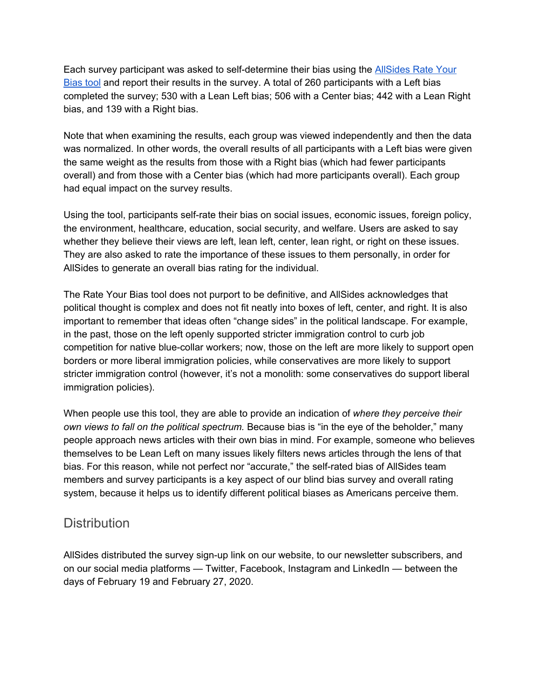Each survey participant was asked to self-determine their bias using the [AllSides](https://www.allsides.com/rate-own-bias) Rate Your [Bias](https://www.allsides.com/rate-own-bias) tool and report their results in the survey. A total of 260 participants with a Left bias completed the survey; 530 with a Lean Left bias; 506 with a Center bias; 442 with a Lean Right bias, and 139 with a Right bias.

Note that when examining the results, each group was viewed independently and then the data was normalized. In other words, the overall results of all participants with a Left bias were given the same weight as the results from those with a Right bias (which had fewer participants overall) and from those with a Center bias (which had more participants overall). Each group had equal impact on the survey results.

Using the tool, participants self-rate their bias on social issues, economic issues, foreign policy, the environment, healthcare, education, social security, and welfare. Users are asked to say whether they believe their views are left, lean left, center, lean right, or right on these issues. They are also asked to rate the importance of these issues to them personally, in order for AllSides to generate an overall bias rating for the individual.

The Rate Your Bias tool does not purport to be definitive, and AllSides acknowledges that political thought is complex and does not fit neatly into boxes of left, center, and right. It is also important to remember that ideas often "change sides" in the political landscape. For example, in the past, those on the left openly supported stricter immigration control to curb job competition for native blue-collar workers; now, those on the left are more likely to support open borders or more liberal immigration policies, while conservatives are more likely to support stricter immigration control (however, it's not a monolith: some conservatives do support liberal immigration policies).

When people use this tool, they are able to provide an indication of *where they perceive their own views to fall on the political spectrum.* Because bias is "in the eye of the beholder," many people approach news articles with their own bias in mind. For example, someone who believes themselves to be Lean Left on many issues likely filters news articles through the lens of that bias. For this reason, while not perfect nor "accurate," the self-rated bias of AllSides team members and survey participants is a key aspect of our blind bias survey and overall rating system, because it helps us to identify different political biases as Americans perceive them.

## **Distribution**

AllSides distributed the survey sign-up link on our website, to our newsletter subscribers, and on our social media platforms — Twitter, Facebook, Instagram and LinkedIn — between the days of February 19 and February 27, 2020.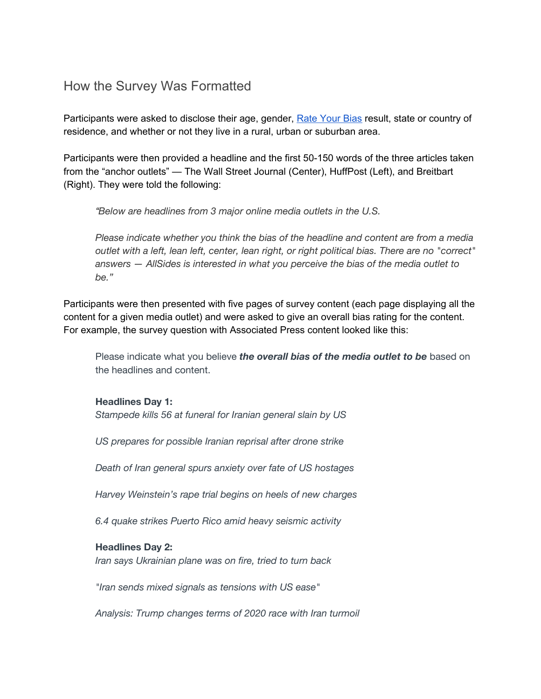## How the Survey Was Formatted

Participants were asked to disclose their age, gender, Rate [Your](https://www.allsides.com/rate-own-bias) Bias result, state or country of residence, and whether or not they live in a rural, urban or suburban area.

Participants were then provided a headline and the first 50-150 words of the three articles taken from the "anchor outlets" — The Wall Street Journal (Center), HuffPost (Left), and Breitbart (Right). They were told the following:

*"Below are headlines from 3 major online media outlets in the U.S.*

*Please indicate whether you think the bias of the headline and content are from a media outlet with a left, lean left, center, lean right, or right political bias. There are no "correct" answers — AllSides is interested in what you perceive the bias of the media outlet to be."*

Participants were then presented with five pages of survey content (each page displaying all the content for a given media outlet) and were asked to give an overall bias rating for the content. For example, the survey question with Associated Press content looked like this:

Please indicate what you believe *the overall bias of the media outlet to be* based on the headlines and content.

**Headlines Day 1:**

*Stampede kills 56 at funeral for Iranian general slain by US*

*US prepares for possible Iranian reprisal after drone strike*

*Death of Iran general spurs anxiety over fate of US hostages*

*Harvey Weinstein's rape trial begins on heels of new charges*

*6.4 quake strikes Puerto Rico amid heavy seismic activity*

#### **Headlines Day 2:**

*Iran says Ukrainian plane was on fire, tried to turn back*

*"Iran sends mixed signals as tensions with US ease"*

*Analysis: Trump changes terms of 2020 race with Iran turmoil*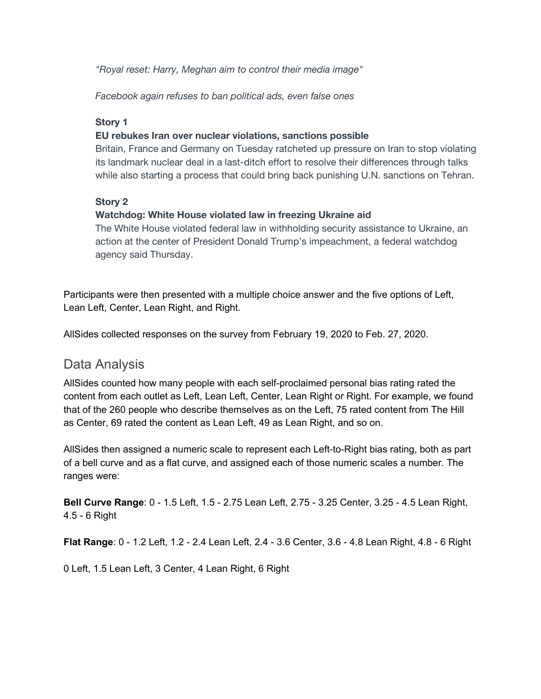*"Royal reset: Harry, Meghan aim to control their media image"*

*Facebook again refuses to ban political ads, even false ones*

#### **Story 1**

#### **EU rebukes Iran over nuclear violations, sanctions possible**

Britain, France and Germany on Tuesday ratcheted up pressure on Iran to stop violating its landmark nuclear deal in a last-ditch effort to resolve their differences through talks while also starting a process that could bring back punishing U.N. sanctions on Tehran.

#### **Story 2**

#### **Watchdog: White House violated law in freezing Ukraine aid**

The White House violated federal law in withholding security assistance to Ukraine, an action at the center of President Donald Trump's impeachment, a federal watchdog agency said Thursday.

Participants were then presented with a multiple choice answer and the five options of Left, Lean Left, Center, Lean Right, and Right.

AllSides collected responses on the survey from February 19, 2020 to Feb. 27, 2020.

## Data Analysis

AllSides counted how many people with each self-proclaimed personal bias rating rated the content from each outlet as Left, Lean Left, Center, Lean Right or Right. For example, we found that of the 260 people who describe themselves as on the Left, 75 rated content from The Hill as Center, 69 rated the content as Lean Left, 49 as Lean Right, and so on.

AllSides then assigned a numeric scale to represent each Left-to-Right bias rating, both as part of a bell curve and as a flat curve, and assigned each of those numeric scales a number. The ranges were:

**Bell Curve Range**: 0 - 1.5 Left, 1.5 - 2.75 Lean Left, 2.75 - 3.25 Center, 3.25 - 4.5 Lean Right, 4.5 - 6 Right

**Flat Range**: 0 - 1.2 Left, 1.2 - 2.4 Lean Left, 2.4 - 3.6 Center, 3.6 - 4.8 Lean Right, 4.8 - 6 Right

0 Left, 1.5 Lean Left, 3 Center, 4 Lean Right, 6 Right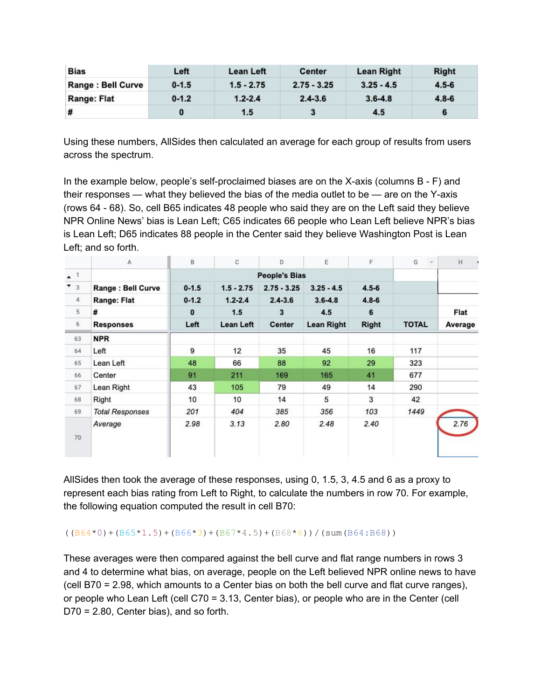| <b>Bias</b>        | Left      | Lean Left    | <b>Center</b> | Lean Right   | <b>Right</b> |
|--------------------|-----------|--------------|---------------|--------------|--------------|
| Range : Bell Curve | $0 - 1.5$ | $1.5 - 2.75$ | $2.75 - 3.25$ | $3.25 - 4.5$ | $4.5 - 6$    |
| <b>Range: Flat</b> | $0 - 1.2$ | $1.2 - 2.4$  | $2.4 - 3.6$   | $3.6 - 4.8$  | $4.8 - 6$    |
| #                  |           | 1.5          |               | 4.5          |              |

Using these numbers, AllSides then calculated an average for each group of results from users across the spectrum.

In the example below, people's self-proclaimed biases are on the X-axis (columns B - F) and their responses — what they believed the bias of the media outlet to be — are on the Y-axis (rows 64 - 68). So, cell B65 indicates 48 people who said they are on the Left said they believe NPR Online News' bias is Lean Left; C65 indicates 66 people who Lean Left believe NPR's bias is Lean Left; D65 indicates 88 people in the Center said they believe Washington Post is Lean Left; and so forth.

|                      | A                      | B         | C            | D                    | E                 | F            | G<br>$\mathcal{A}$ | H       |
|----------------------|------------------------|-----------|--------------|----------------------|-------------------|--------------|--------------------|---------|
| $\star$ <sup>1</sup> |                        |           |              | <b>People's Bias</b> |                   |              |                    |         |
| $\bullet$ 3          | Range: Bell Curve      | $0 - 1.5$ | $1.5 - 2.75$ | $2.75 - 3.25$        | $3.25 - 4.5$      | $4.5 - 6$    |                    |         |
| $\overline{4}$       | Range: Flat            | $0 - 1.2$ | $1.2 - 2.4$  | $2.4 - 3.6$          | $3.6 - 4.8$       | $4.8 - 6$    |                    |         |
| 5                    | #                      | $\bf{0}$  | 1.5          | 3                    | 4.5               | 6            |                    | Flat    |
| $6\phantom{.}6$      | <b>Responses</b>       | Left      | Lean Left    | Center               | <b>Lean Right</b> | <b>Right</b> | <b>TOTAL</b>       | Average |
| 63                   | <b>NPR</b>             |           |              |                      |                   |              |                    |         |
| 64                   | Left                   | 9         | 12           | 35                   | 45                | 16           | 117                |         |
| 65                   | Lean Left              | 48        | 66           | 88                   | 92                | 29           | 323                |         |
| 66                   | Center                 | 91        | 211          | 169                  | 165               | 41           | 677                |         |
| 67                   | Lean Right             | 43        | 105          | 79                   | 49                | 14           | 290                |         |
| 68                   | Right                  | 10        | 10           | 14                   | 5                 | 3            | 42                 |         |
| 69                   | <b>Total Responses</b> | 201       | 404          | 385                  | 356               | 103          | 1449               |         |
| 70                   | Average                | 2.98      | 3.13         | 2.80                 | 2.48              | 2.40         |                    | 2.76    |

AllSides then took the average of these responses, using 0, 1.5, 3, 4.5 and 6 as a proxy to represent each bias rating from Left to Right, to calculate the numbers in row 70. For example, the following equation computed the result in cell B70:

 $((B64*0)+(B65*1.5)+(B66*3)+(B67*4.5)+(B68*6))/(\text{sum}(B64:B68))$ 

These averages were then compared against the bell curve and flat range numbers in rows 3 and 4 to determine what bias, on average, people on the Left believed NPR online news to have (cell B70 = 2.98, which amounts to a Center bias on both the bell curve and flat curve ranges), or people who Lean Left (cell C70 = 3.13, Center bias), or people who are in the Center (cell D70 = 2.80, Center bias), and so forth.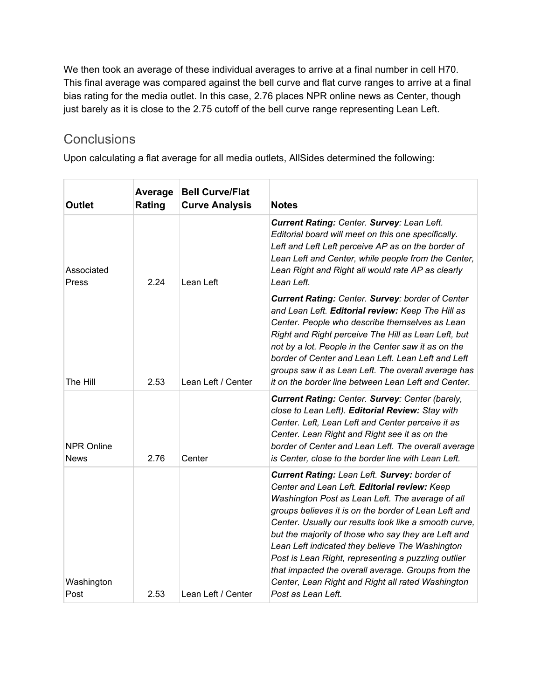We then took an average of these individual averages to arrive at a final number in cell H70. This final average was compared against the bell curve and flat curve ranges to arrive at a final bias rating for the media outlet. In this case, 2.76 places NPR online news as Center, though just barely as it is close to the 2.75 cutoff of the bell curve range representing Lean Left.

# **Conclusions**

Upon calculating a flat average for all media outlets, AllSides determined the following:

| <b>Outlet</b>                    | Average<br>Rating | <b>Bell Curve/Flat</b><br><b>Curve Analysis</b> | <b>Notes</b>                                                                                                                                                                                                                                                                                                                                                                                                                                                                                                                                                        |
|----------------------------------|-------------------|-------------------------------------------------|---------------------------------------------------------------------------------------------------------------------------------------------------------------------------------------------------------------------------------------------------------------------------------------------------------------------------------------------------------------------------------------------------------------------------------------------------------------------------------------------------------------------------------------------------------------------|
| Associated<br>Press              | 2.24              | Lean Left                                       | Current Rating: Center. Survey: Lean Left.<br>Editorial board will meet on this one specifically.<br>Left and Left Left perceive AP as on the border of<br>Lean Left and Center, while people from the Center,<br>Lean Right and Right all would rate AP as clearly<br>Lean Left.                                                                                                                                                                                                                                                                                   |
| The Hill                         | 2.53              | Lean Left / Center                              | <b>Current Rating: Center. Survey: border of Center</b><br>and Lean Left. Editorial review: Keep The Hill as<br>Center. People who describe themselves as Lean<br>Right and Right perceive The Hill as Lean Left, but<br>not by a lot. People in the Center saw it as on the<br>border of Center and Lean Left. Lean Left and Left<br>groups saw it as Lean Left. The overall average has<br>it on the border line between Lean Left and Center.                                                                                                                    |
| <b>NPR Online</b><br><b>News</b> | 2.76              | Center                                          | Current Rating: Center. Survey: Center (barely,<br>close to Lean Left). Editorial Review: Stay with<br>Center. Left, Lean Left and Center perceive it as<br>Center. Lean Right and Right see it as on the<br>border of Center and Lean Left. The overall average<br>is Center, close to the border line with Lean Left.                                                                                                                                                                                                                                             |
| Washington<br>Post               | 2.53              | Lean Left / Center                              | Current Rating: Lean Left. Survey: border of<br>Center and Lean Left. Editorial review: Keep<br>Washington Post as Lean Left. The average of all<br>groups believes it is on the border of Lean Left and<br>Center. Usually our results look like a smooth curve,<br>but the majority of those who say they are Left and<br>Lean Left indicated they believe The Washington<br>Post is Lean Right, representing a puzzling outlier<br>that impacted the overall average. Groups from the<br>Center, Lean Right and Right all rated Washington<br>Post as Lean Left. |